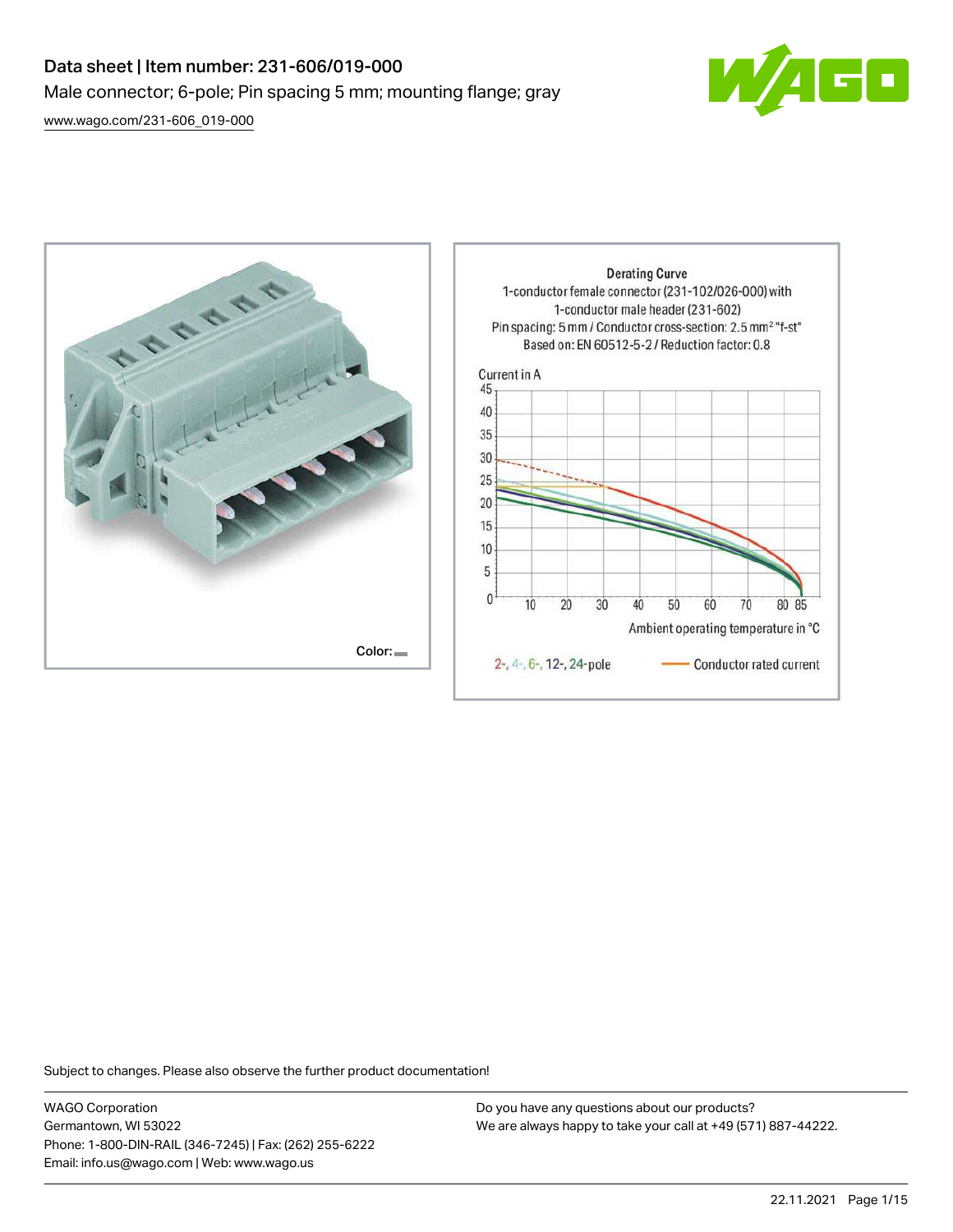# Data sheet | Item number: 231-606/019-000 Male connector; 6-pole; Pin spacing 5 mm; mounting flange; gray

[www.wago.com/231-606\\_019-000](http://www.wago.com/231-606_019-000)





Subject to changes. Please also observe the further product documentation!

WAGO Corporation Germantown, WI 53022 Phone: 1-800-DIN-RAIL (346-7245) | Fax: (262) 255-6222 Email: info.us@wago.com | Web: www.wago.us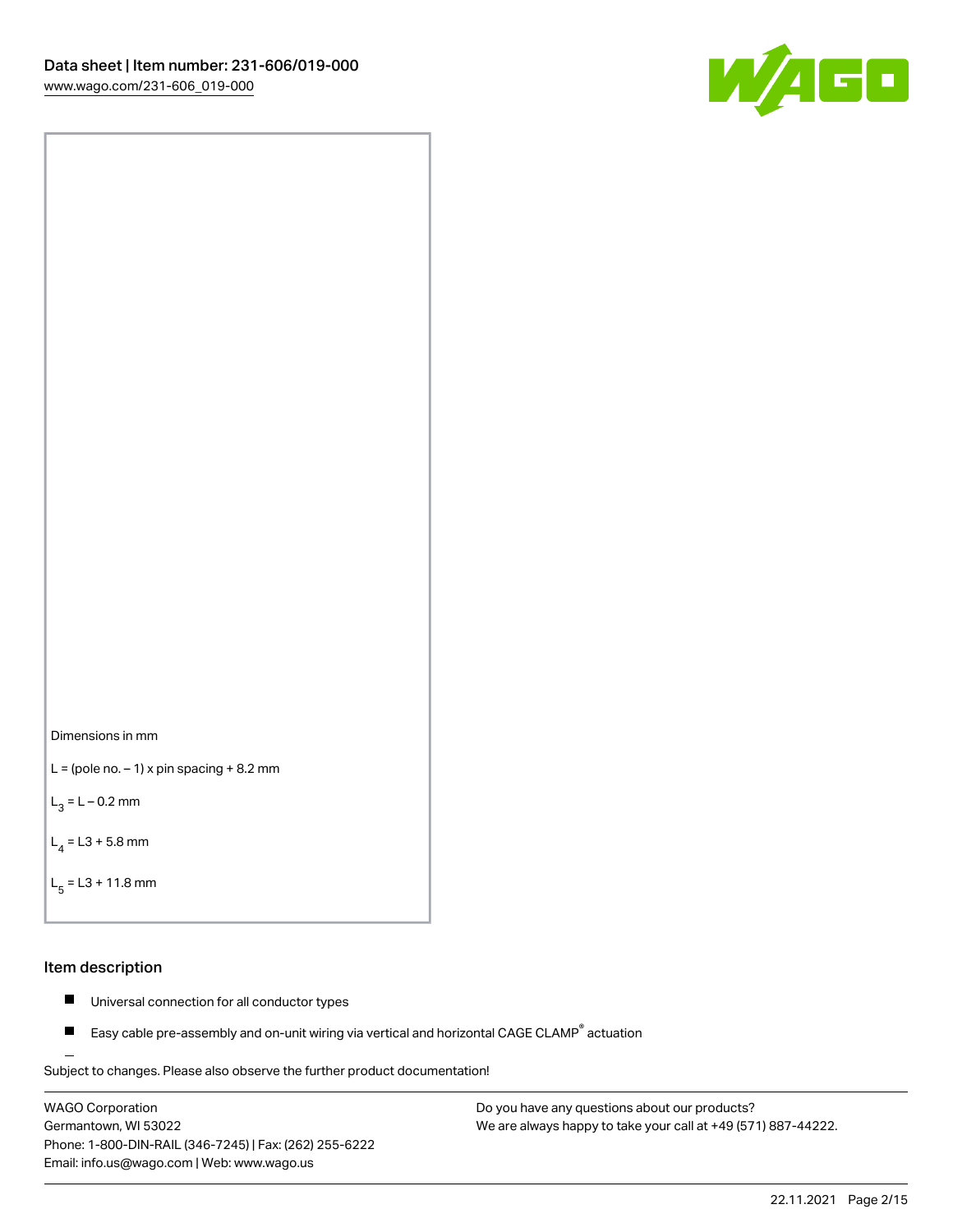



```
L = (pole no. -1) x pin spacing +8.2 mm
```
 $L_3 = L - 0.2$  mm

```
L_4 = L3 + 5.8 mm
```

```
L_{\rm g} = L3 + 11.8 mm
```
### Item description

- $\blacksquare$ Universal connection for all conductor types
- Easy cable pre-assembly and on-unit wiring via vertical and horizontal CAGE CLAMP<sup>®</sup> actuation  $\blacksquare$

Subject to changes. Please also observe the further product documentation! For wire-to-wire and board-to-wire connections

WAGO Corporation Germantown, WI 53022 Phone: 1-800-DIN-RAIL (346-7245) | Fax: (262) 255-6222 Email: info.us@wago.com | Web: www.wago.us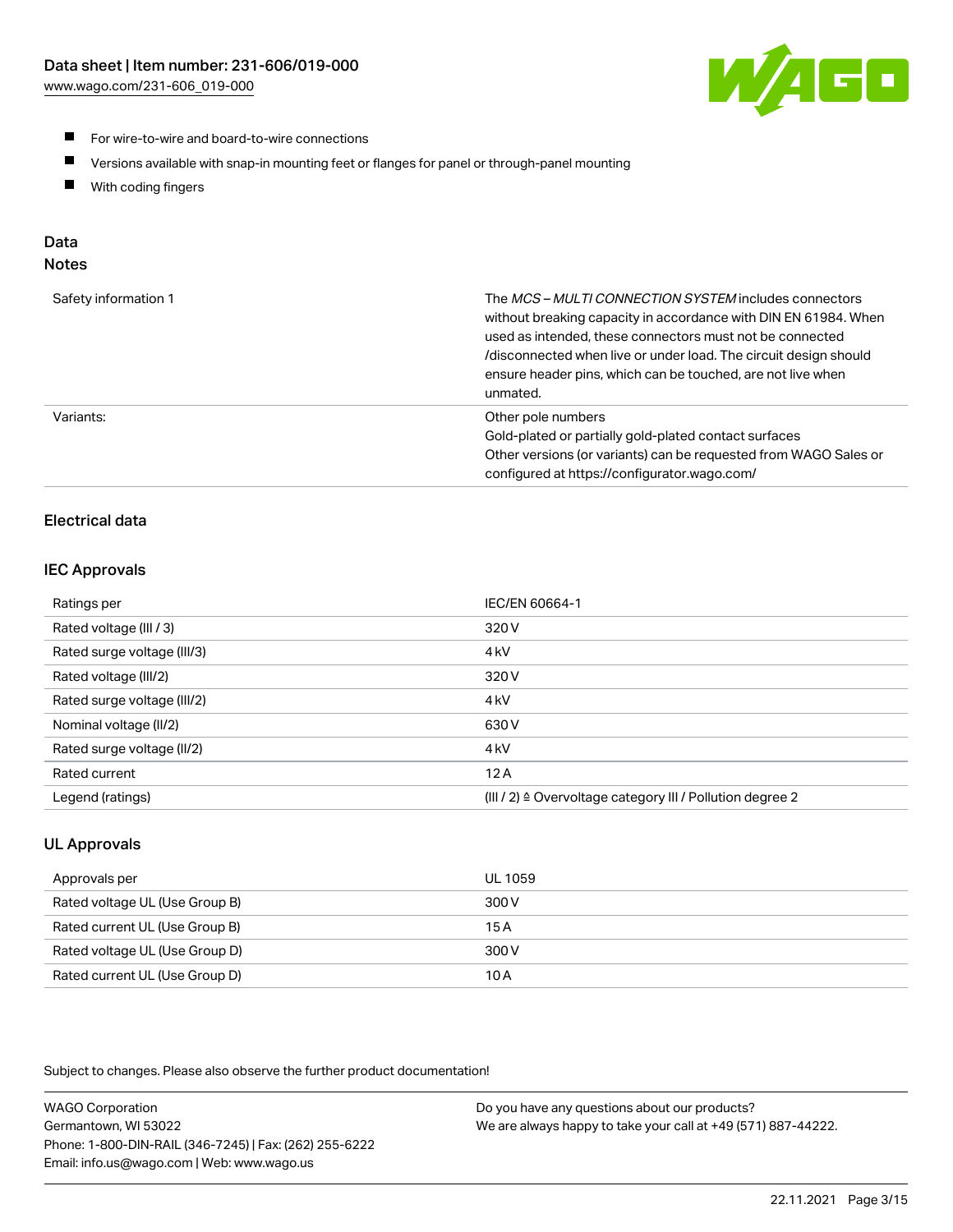

- For wire-to-wire and board-to-wire connections
- $\blacksquare$ Versions available with snap-in mounting feet or flanges for panel or through-panel mounting
- $\blacksquare$ With coding fingers

## Data

## Notes

| Safety information 1 | The MCS-MULTI CONNECTION SYSTEM includes connectors<br>without breaking capacity in accordance with DIN EN 61984. When<br>used as intended, these connectors must not be connected<br>/disconnected when live or under load. The circuit design should<br>ensure header pins, which can be touched, are not live when<br>unmated. |
|----------------------|-----------------------------------------------------------------------------------------------------------------------------------------------------------------------------------------------------------------------------------------------------------------------------------------------------------------------------------|
| Variants:            | Other pole numbers<br>Gold-plated or partially gold-plated contact surfaces<br>Other versions (or variants) can be requested from WAGO Sales or<br>configured at https://configurator.wago.com/                                                                                                                                   |

## Electrical data

## IEC Approvals

| Ratings per                 | IEC/EN 60664-1                                                        |
|-----------------------------|-----------------------------------------------------------------------|
| Rated voltage (III / 3)     | 320 V                                                                 |
| Rated surge voltage (III/3) | 4 <sub>k</sub> V                                                      |
| Rated voltage (III/2)       | 320 V                                                                 |
| Rated surge voltage (III/2) | 4 <sub>k</sub> V                                                      |
| Nominal voltage (II/2)      | 630 V                                                                 |
| Rated surge voltage (II/2)  | 4 <sub>k</sub> V                                                      |
| Rated current               | 12A                                                                   |
| Legend (ratings)            | $(III / 2)$ $\triangle$ Overvoltage category III / Pollution degree 2 |

## UL Approvals

| Approvals per                  | UL 1059 |
|--------------------------------|---------|
| Rated voltage UL (Use Group B) | 300 V   |
| Rated current UL (Use Group B) | 15 A    |
| Rated voltage UL (Use Group D) | 300 V   |
| Rated current UL (Use Group D) | 10 A    |

Subject to changes. Please also observe the further product documentation!

| <b>WAGO Corporation</b>                                | Do you have any questions about our products?                 |
|--------------------------------------------------------|---------------------------------------------------------------|
| Germantown, WI 53022                                   | We are always happy to take your call at +49 (571) 887-44222. |
| Phone: 1-800-DIN-RAIL (346-7245)   Fax: (262) 255-6222 |                                                               |
| Email: info.us@wago.com   Web: www.wago.us             |                                                               |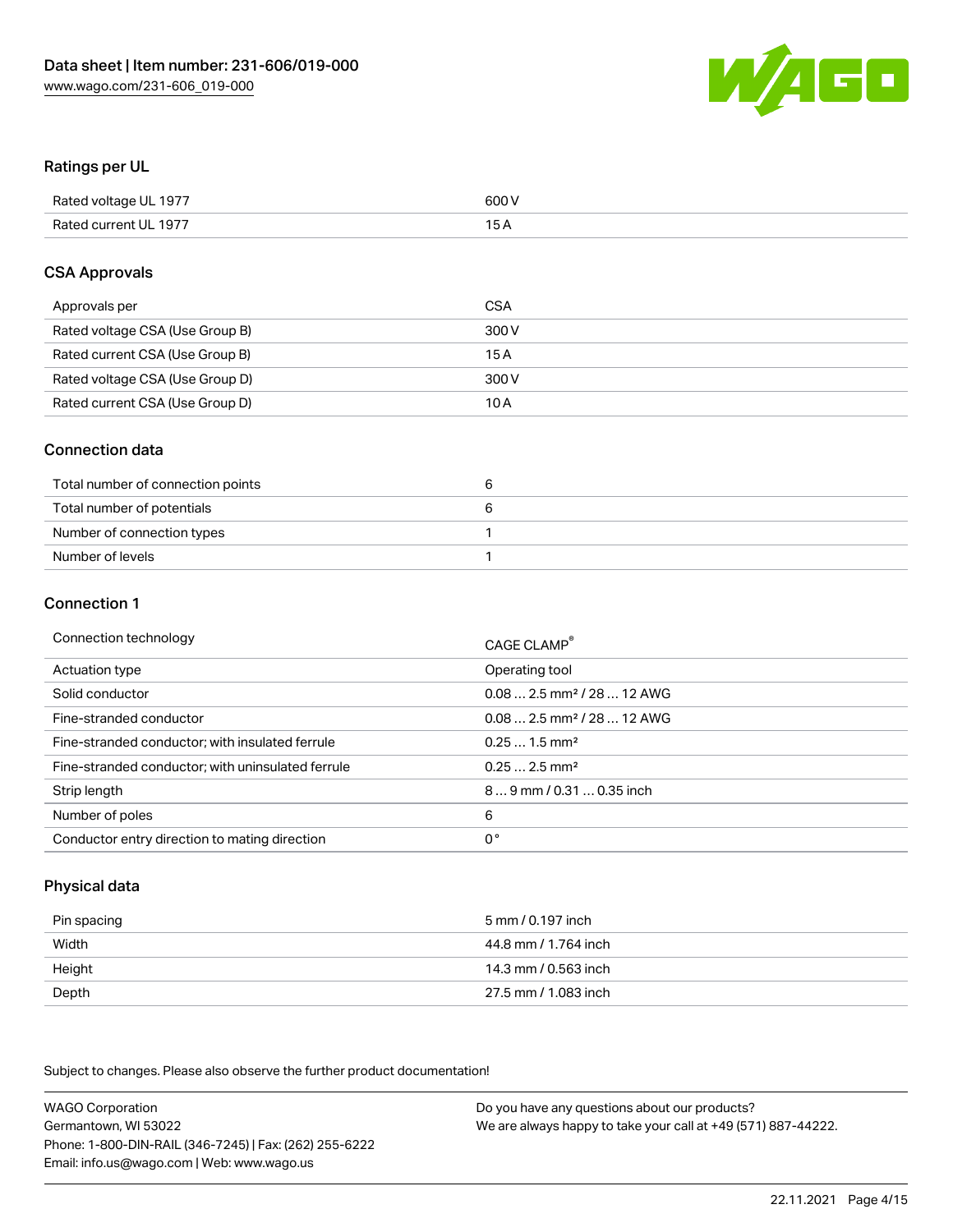

### Ratings per UL

| Rated voltage UL 1977 | 600 V |
|-----------------------|-------|
| Rated current UL 1977 | 1 E   |

#### CSA Approvals

| Approvals per                   | CSA   |
|---------------------------------|-------|
| Rated voltage CSA (Use Group B) | 300 V |
| Rated current CSA (Use Group B) | 15 A  |
| Rated voltage CSA (Use Group D) | 300 V |
| Rated current CSA (Use Group D) | 10 A  |

### Connection data

| Total number of connection points |  |
|-----------------------------------|--|
| Total number of potentials        |  |
| Number of connection types        |  |
| Number of levels                  |  |

#### Connection 1

| Connection technology                             | CAGE CLAMP <sup>®</sup>                 |
|---------------------------------------------------|-----------------------------------------|
| Actuation type                                    | Operating tool                          |
| Solid conductor                                   | $0.08$ 2.5 mm <sup>2</sup> / 28  12 AWG |
| Fine-stranded conductor                           | $0.082.5$ mm <sup>2</sup> / 28  12 AWG  |
| Fine-stranded conductor; with insulated ferrule   | $0.251.5$ mm <sup>2</sup>               |
| Fine-stranded conductor; with uninsulated ferrule | $0.252.5$ mm <sup>2</sup>               |
| Strip length                                      | 89 mm / 0.31  0.35 inch                 |
| Number of poles                                   | 6                                       |
| Conductor entry direction to mating direction     | 0°                                      |

## Physical data

| Pin spacing | 5 mm / 0.197 inch    |
|-------------|----------------------|
| Width       | 44.8 mm / 1.764 inch |
| Height      | 14.3 mm / 0.563 inch |
| Depth       | 27.5 mm / 1.083 inch |

Subject to changes. Please also observe the further product documentation!

WAGO Corporation Germantown, WI 53022 Phone: 1-800-DIN-RAIL (346-7245) | Fax: (262) 255-6222 Email: info.us@wago.com | Web: www.wago.us Do you have any questions about our products? We are always happy to take your call at +49 (571) 887-44222.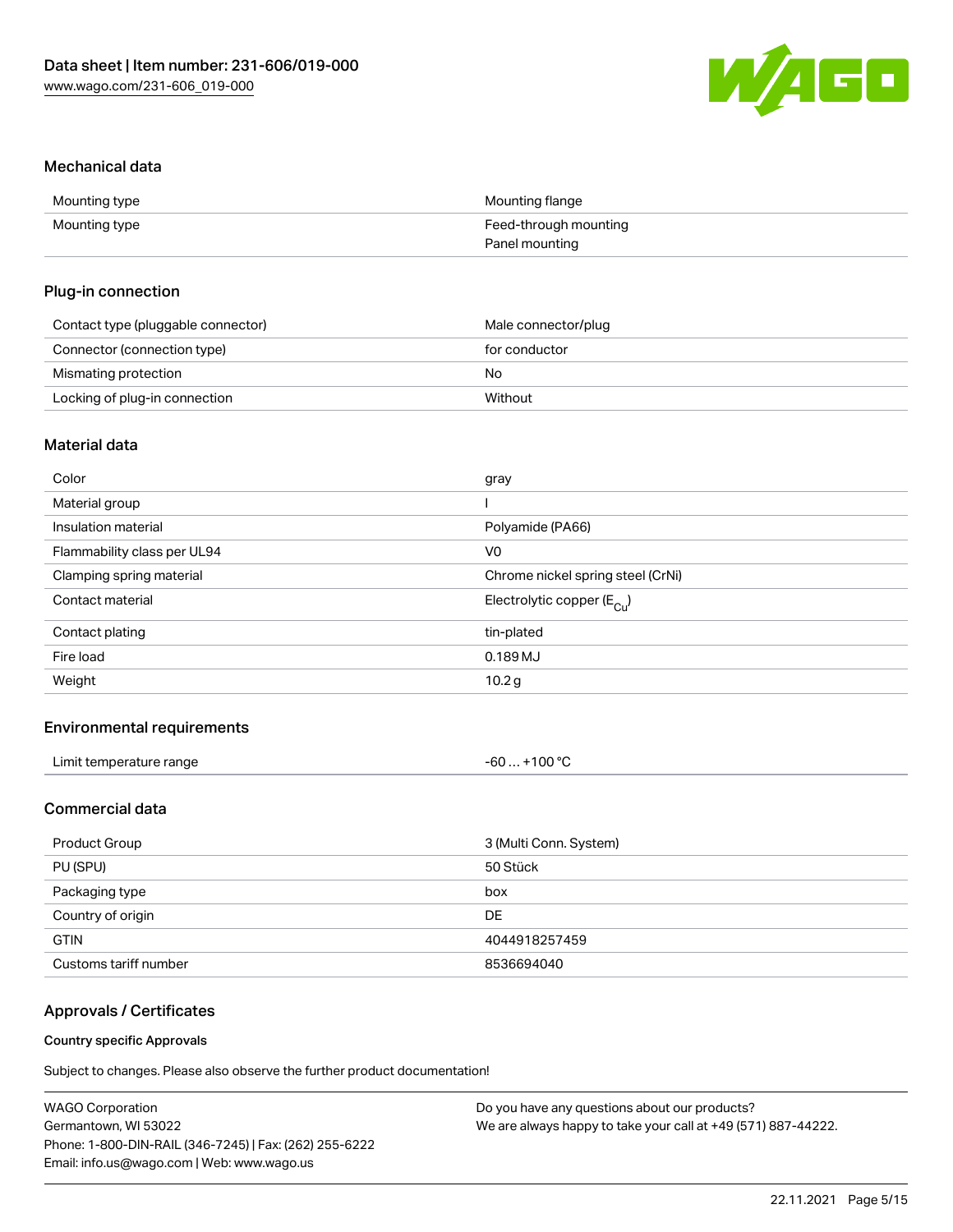

#### Mechanical data

| Mounting type | Mounting flange       |
|---------------|-----------------------|
| Mounting type | Feed-through mounting |
|               | Panel mounting        |

#### Plug-in connection

| Contact type (pluggable connector) | Male connector/plug |
|------------------------------------|---------------------|
| Connector (connection type)        | for conductor       |
| Mismating protection               | No                  |
| Locking of plug-in connection      | Without             |

## Material data

| Color                       | gray                                  |
|-----------------------------|---------------------------------------|
| Material group              |                                       |
| Insulation material         | Polyamide (PA66)                      |
| Flammability class per UL94 | V <sub>0</sub>                        |
| Clamping spring material    | Chrome nickel spring steel (CrNi)     |
| Contact material            | Electrolytic copper $(E_{\text{Cl}})$ |
| Contact plating             | tin-plated                            |
| Fire load                   | 0.189 MJ                              |
| Weight                      | 10.2 g                                |
|                             |                                       |

## Environmental requirements

| Limit temperature range<br>. | +100 $^{\circ}$ C<br>-60… |  |
|------------------------------|---------------------------|--|
|------------------------------|---------------------------|--|

## Commercial data

| Product Group         | 3 (Multi Conn. System) |
|-----------------------|------------------------|
| PU (SPU)              | 50 Stück               |
| Packaging type        | box                    |
| Country of origin     | DE.                    |
| <b>GTIN</b>           | 4044918257459          |
| Customs tariff number | 8536694040             |

## Approvals / Certificates

#### Country specific Approvals

Subject to changes. Please also observe the further product documentation!

| WAGO Corporation                                       | Do you have any questions about our products?                 |
|--------------------------------------------------------|---------------------------------------------------------------|
| Germantown, WI 53022                                   | We are always happy to take your call at +49 (571) 887-44222. |
| Phone: 1-800-DIN-RAIL (346-7245)   Fax: (262) 255-6222 |                                                               |
| Email: info.us@wago.com   Web: www.wago.us             |                                                               |
|                                                        |                                                               |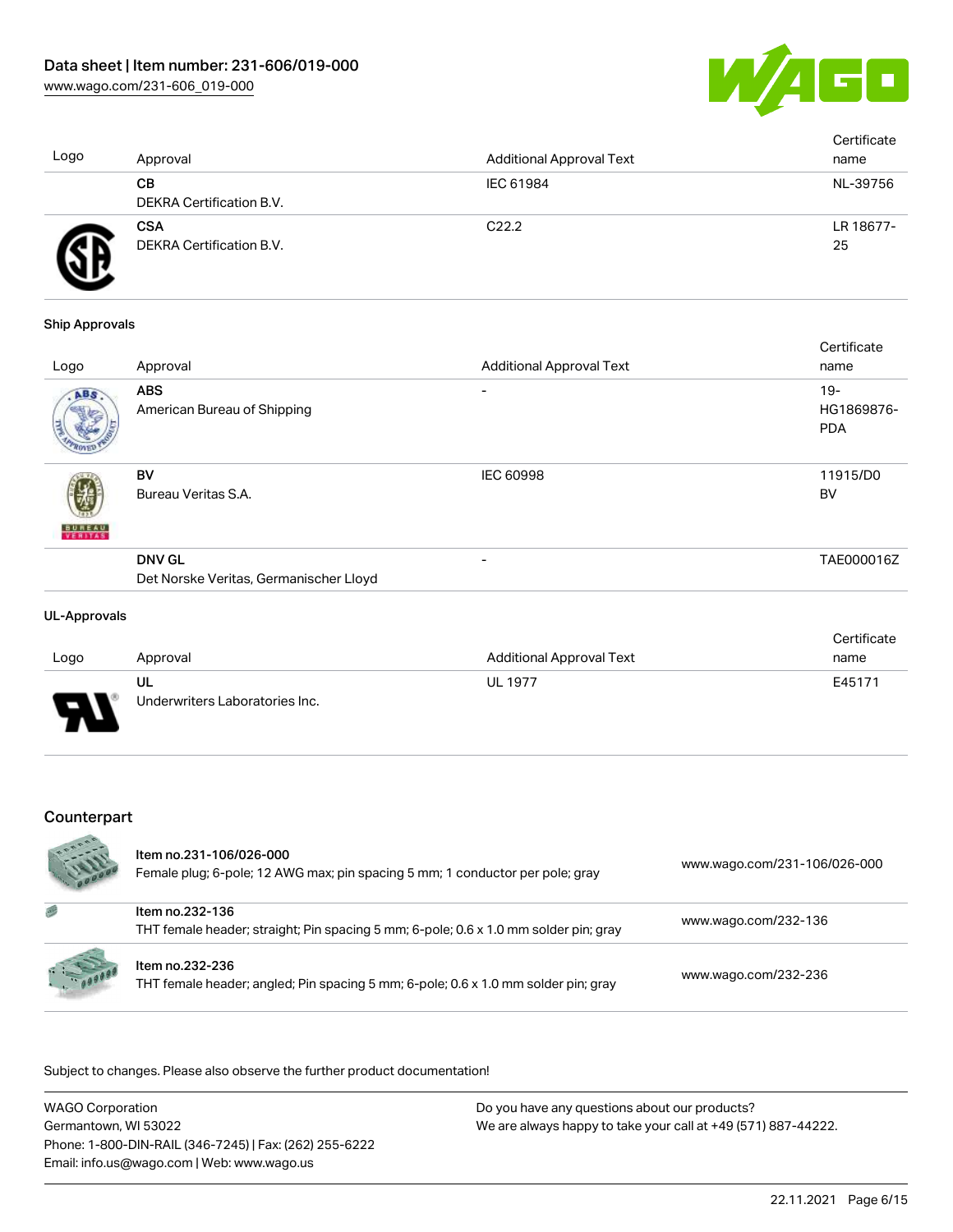

| Logo | Approval                               | <b>Additional Approval Text</b> | Certificate<br>name |
|------|----------------------------------------|---------------------------------|---------------------|
|      | CВ<br><b>DEKRA Certification B.V.</b>  | IEC 61984                       | NL-39756            |
|      | <b>CSA</b><br>DEKRA Certification B.V. | C <sub>22.2</sub>               | LR 18677-<br>25     |

#### Ship Approvals

| Logo          | Approval                                  | <b>Additional Approval Text</b> | Certificate<br>name                |
|---------------|-------------------------------------------|---------------------------------|------------------------------------|
| ABS.          | <b>ABS</b><br>American Bureau of Shipping | ۰                               | $19 -$<br>HG1869876-<br><b>PDA</b> |
| <b>BUNEAU</b> | BV<br>Bureau Veritas S.A.                 | <b>IEC 60998</b>                | 11915/D0<br><b>BV</b>              |
|               | <b>DNV GL</b>                             | ۰                               | TAE000016Z                         |
|               | Det Norske Veritas, Germanischer Lloyd    |                                 |                                    |

#### UL-Approvals

|      |                                |                          | Certificate |
|------|--------------------------------|--------------------------|-------------|
| Logo | Approval                       | Additional Approval Text | name        |
|      | UL                             | <b>UL 1977</b>           | E45171      |
| J    | Underwriters Laboratories Inc. |                          |             |

## Counterpart

|         | Item no.231-106/026-000<br>Female plug; 6-pole; 12 AWG max; pin spacing 5 mm; 1 conductor per pole; gray | www.wago.com/231-106/026-000 |
|---------|----------------------------------------------------------------------------------------------------------|------------------------------|
|         | Item no.232-136<br>THT female header; straight; Pin spacing 5 mm; 6-pole; 0.6 x 1.0 mm solder pin; gray  | www.wago.com/232-136         |
| $= 1.1$ | Item no.232-236<br>THT female header; angled; Pin spacing 5 mm; 6-pole; 0.6 x 1.0 mm solder pin; gray    | www.wago.com/232-236         |

.<br>Subject to changes. Please also observe the further product documentation!

| <b>WAGO Corporation</b>                                | Do you have any questions about our products?                 |
|--------------------------------------------------------|---------------------------------------------------------------|
| Germantown. WI 53022                                   | We are always happy to take your call at +49 (571) 887-44222. |
| Phone: 1-800-DIN-RAIL (346-7245)   Fax: (262) 255-6222 |                                                               |
| Email: info.us@wago.com   Web: www.wago.us             |                                                               |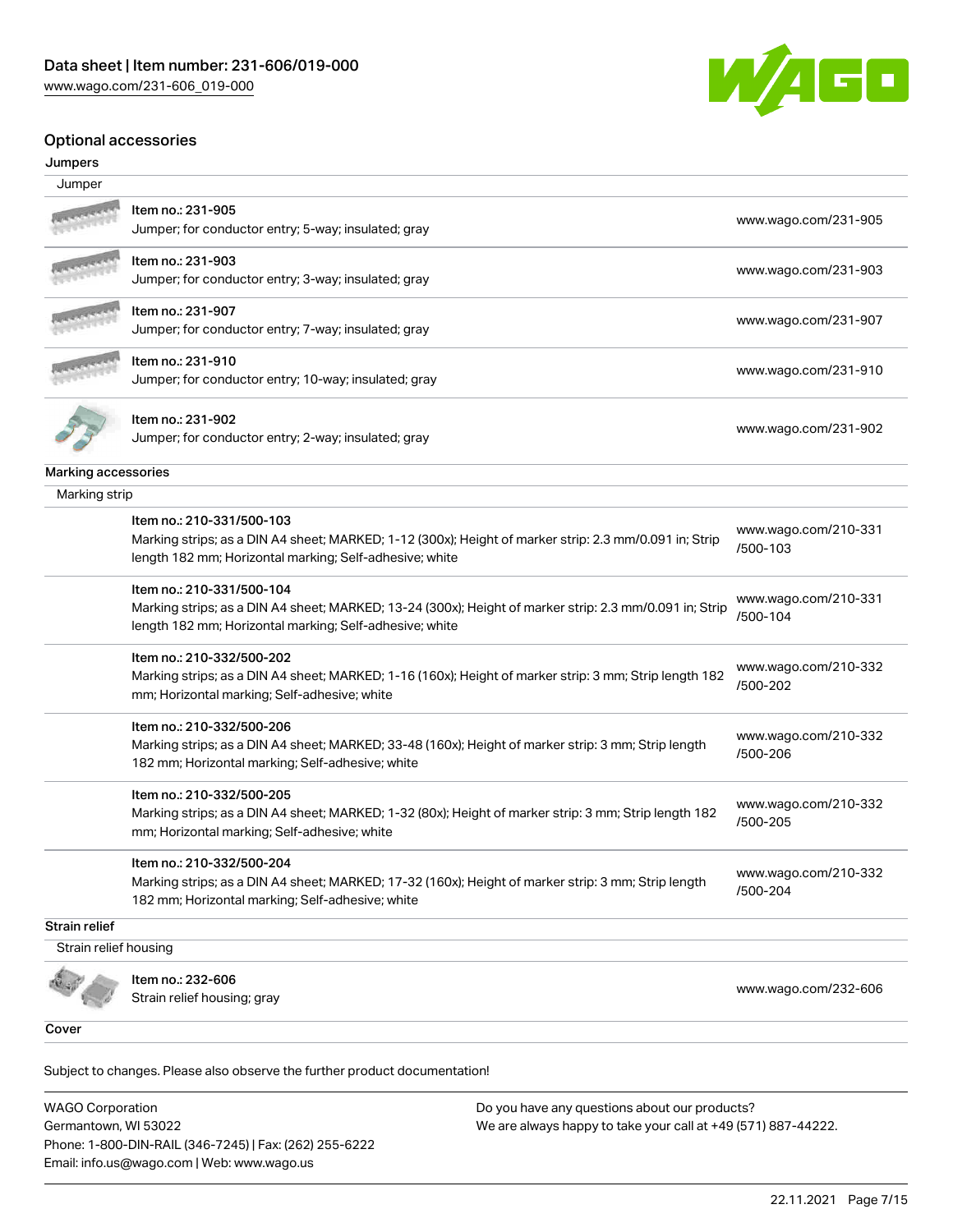

#### Optional accessories

#### Jumpers

| Jumper                |                                                                                                                                                       |                                  |
|-----------------------|-------------------------------------------------------------------------------------------------------------------------------------------------------|----------------------------------|
|                       |                                                                                                                                                       |                                  |
|                       | ltem no.: 231-905<br>Jumper; for conductor entry; 5-way; insulated; gray                                                                              | www.wago.com/231-905             |
|                       | Item no.: 231-903                                                                                                                                     |                                  |
|                       | Jumper; for conductor entry; 3-way; insulated; gray                                                                                                   | www.wago.com/231-903             |
|                       | Item no.: 231-907                                                                                                                                     |                                  |
|                       | Jumper; for conductor entry; 7-way; insulated; gray                                                                                                   | www.wago.com/231-907             |
|                       | Item no.: 231-910                                                                                                                                     | www.wago.com/231-910             |
|                       | Jumper; for conductor entry; 10-way; insulated; gray                                                                                                  |                                  |
|                       | Item no.: 231-902                                                                                                                                     |                                  |
|                       | Jumper; for conductor entry; 2-way; insulated; gray                                                                                                   | www.wago.com/231-902             |
| Marking accessories   |                                                                                                                                                       |                                  |
| Marking strip         |                                                                                                                                                       |                                  |
|                       | Item no.: 210-331/500-103                                                                                                                             |                                  |
|                       | Marking strips; as a DIN A4 sheet; MARKED; 1-12 (300x); Height of marker strip: 2.3 mm/0.091 in; Strip                                                | www.wago.com/210-331<br>/500-103 |
|                       | length 182 mm; Horizontal marking; Self-adhesive; white                                                                                               |                                  |
|                       | Item no.: 210-331/500-104                                                                                                                             |                                  |
|                       | Marking strips; as a DIN A4 sheet; MARKED; 13-24 (300x); Height of marker strip: 2.3 mm/0.091 in; Strip                                               | www.wago.com/210-331<br>/500-104 |
|                       | length 182 mm; Horizontal marking; Self-adhesive; white                                                                                               |                                  |
|                       | Item no.: 210-332/500-202                                                                                                                             | www.wago.com/210-332             |
|                       | Marking strips; as a DIN A4 sheet; MARKED; 1-16 (160x); Height of marker strip: 3 mm; Strip length 182                                                | /500-202                         |
|                       | mm; Horizontal marking; Self-adhesive; white                                                                                                          |                                  |
|                       | Item no.: 210-332/500-206                                                                                                                             | www.wago.com/210-332             |
|                       | Marking strips; as a DIN A4 sheet; MARKED; 33-48 (160x); Height of marker strip: 3 mm; Strip length                                                   | /500-206                         |
|                       | 182 mm; Horizontal marking; Self-adhesive; white                                                                                                      |                                  |
|                       | Item no.: 210-332/500-205                                                                                                                             | www.wago.com/210-332             |
|                       | Marking strips; as a DIN A4 sheet; MARKED; 1-32 (80x); Height of marker strip: 3 mm; Strip length 182<br>mm; Horizontal marking; Self-adhesive; white | /500-205                         |
|                       | Item no.: 210-332/500-204                                                                                                                             |                                  |
|                       | Marking strips; as a DIN A4 sheet; MARKED; 17-32 (160x); Height of marker strip: 3 mm; Strip length                                                   | www.wago.com/210-332<br>/500-204 |
|                       | 182 mm; Horizontal marking; Self-adhesive; white                                                                                                      |                                  |
| <b>Strain relief</b>  |                                                                                                                                                       |                                  |
| Strain relief housing |                                                                                                                                                       |                                  |
|                       | Item no.: 232-606                                                                                                                                     |                                  |
|                       | Strain relief housing; gray                                                                                                                           | www.wago.com/232-606             |
| Cover                 |                                                                                                                                                       |                                  |
|                       |                                                                                                                                                       |                                  |

Subject to changes. Please also observe the further product documentation! Cover

WAGO Corporation Germantown, WI 53022 Phone: 1-800-DIN-RAIL (346-7245) | Fax: (262) 255-6222 Email: info.us@wago.com | Web: www.wago.us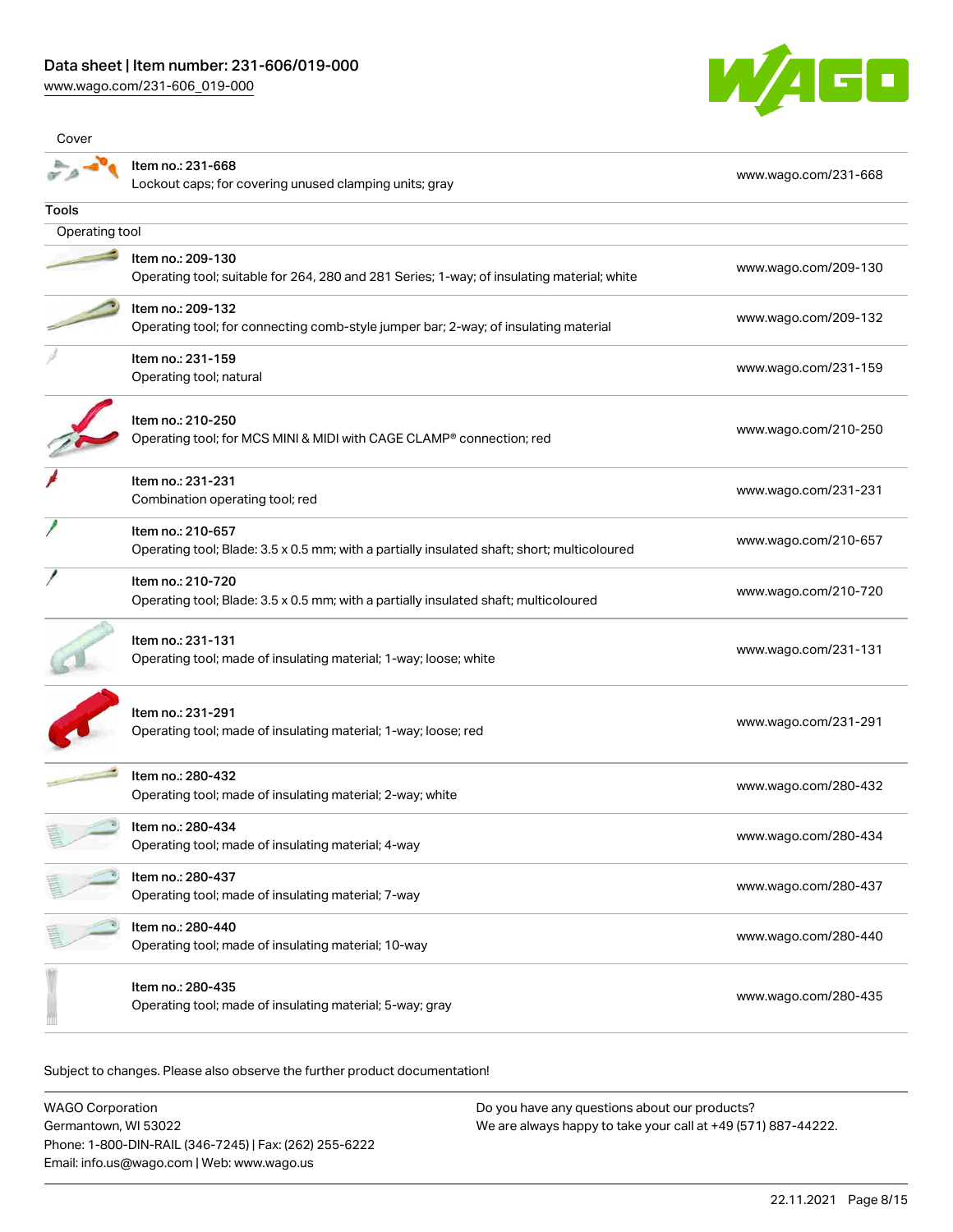[www.wago.com/231-606\\_019-000](http://www.wago.com/231-606_019-000)



| Cover          |                                                                                                                  |                      |
|----------------|------------------------------------------------------------------------------------------------------------------|----------------------|
|                | Item no.: 231-668<br>Lockout caps; for covering unused clamping units; gray                                      | www.wago.com/231-668 |
| Tools          |                                                                                                                  |                      |
| Operating tool |                                                                                                                  |                      |
|                | Item no.: 209-130<br>Operating tool; suitable for 264, 280 and 281 Series; 1-way; of insulating material; white  | www.wago.com/209-130 |
|                | Item no.: 209-132<br>Operating tool; for connecting comb-style jumper bar; 2-way; of insulating material         | www.wago.com/209-132 |
|                | Item no.: 231-159<br>Operating tool; natural                                                                     | www.wago.com/231-159 |
|                | Item no.: 210-250<br>Operating tool; for MCS MINI & MIDI with CAGE CLAMP® connection; red                        | www.wago.com/210-250 |
|                | Item no.: 231-231<br>Combination operating tool; red                                                             | www.wago.com/231-231 |
|                | Item no.: 210-657<br>Operating tool; Blade: 3.5 x 0.5 mm; with a partially insulated shaft; short; multicoloured | www.wago.com/210-657 |
|                | Item no.: 210-720<br>Operating tool; Blade: 3.5 x 0.5 mm; with a partially insulated shaft; multicoloured        | www.wago.com/210-720 |
|                | Item no.: 231-131<br>Operating tool; made of insulating material; 1-way; loose; white                            | www.wago.com/231-131 |
|                | Item no.: 231-291<br>Operating tool; made of insulating material; 1-way; loose; red                              | www.wago.com/231-291 |
|                | Item no.: 280-432<br>Operating tool; made of insulating material; 2-way; white                                   | www.wago.com/280-432 |
|                | Item no.: 280-434<br>Operating tool; made of insulating material; 4-way                                          | www.wago.com/280-434 |
|                | Item no.: 280-437<br>Operating tool; made of insulating material; 7-way                                          | www.wago.com/280-437 |
|                | Item no.: 280-440<br>Operating tool; made of insulating material; 10-way                                         | www.wago.com/280-440 |
|                | Item no.: 280-435<br>Operating tool; made of insulating material; 5-way; gray                                    | www.wago.com/280-435 |
|                |                                                                                                                  |                      |

Subject to changes. Please also observe the further product documentation!

WAGO Corporation Germantown, WI 53022 Phone: 1-800-DIN-RAIL (346-7245) | Fax: (262) 255-6222 Email: info.us@wago.com | Web: www.wago.us Do you have any questions about our products? We are always happy to take your call at +49 (571) 887-44222.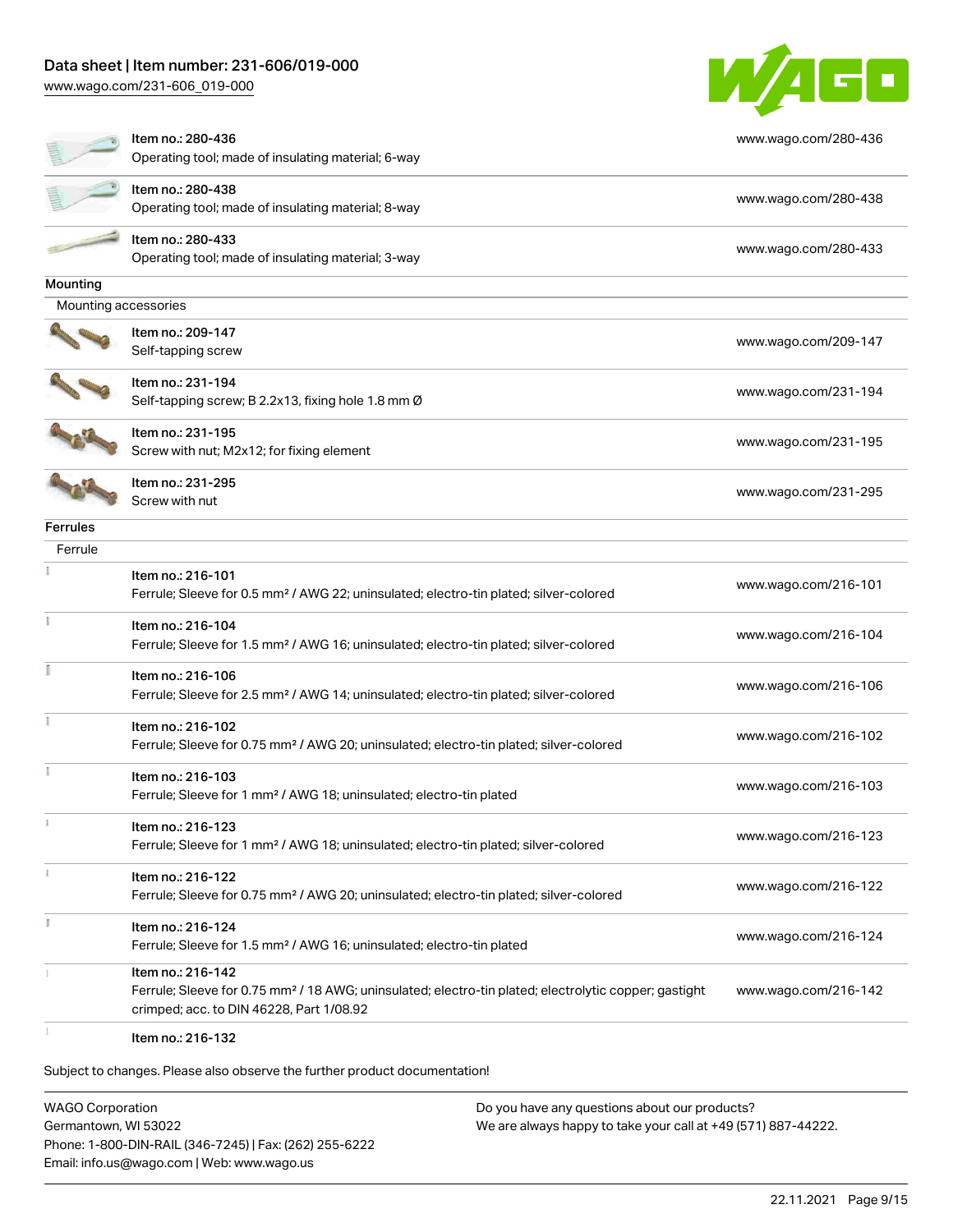## Data sheet | Item number: 231-606/019-000

[www.wago.com/231-606\\_019-000](http://www.wago.com/231-606_019-000)



|                      | Item no.: 280-436<br>Operating tool; made of insulating material; 6-way                                                                                                            | www.wago.com/280-436 |
|----------------------|------------------------------------------------------------------------------------------------------------------------------------------------------------------------------------|----------------------|
|                      | Item no.: 280-438<br>Operating tool; made of insulating material; 8-way                                                                                                            | www.wago.com/280-438 |
|                      | Item no.: 280-433<br>Operating tool; made of insulating material; 3-way                                                                                                            | www.wago.com/280-433 |
| Mounting             |                                                                                                                                                                                    |                      |
| Mounting accessories |                                                                                                                                                                                    |                      |
|                      | Item no.: 209-147<br>Self-tapping screw                                                                                                                                            | www.wago.com/209-147 |
|                      | Item no.: 231-194<br>Self-tapping screw; B 2.2x13, fixing hole 1.8 mm Ø                                                                                                            | www.wago.com/231-194 |
|                      | Item no.: 231-195<br>Screw with nut; M2x12; for fixing element                                                                                                                     | www.wago.com/231-195 |
|                      | Item no.: 231-295<br>Screw with nut                                                                                                                                                | www.wago.com/231-295 |
| <b>Ferrules</b>      |                                                                                                                                                                                    |                      |
| Ferrule              |                                                                                                                                                                                    |                      |
|                      | Item no.: 216-101<br>Ferrule; Sleeve for 0.5 mm <sup>2</sup> / AWG 22; uninsulated; electro-tin plated; silver-colored                                                             | www.wago.com/216-101 |
|                      | Item no.: 216-104<br>Ferrule; Sleeve for 1.5 mm <sup>2</sup> / AWG 16; uninsulated; electro-tin plated; silver-colored                                                             | www.wago.com/216-104 |
|                      | Item no.: 216-106<br>Ferrule; Sleeve for 2.5 mm <sup>2</sup> / AWG 14; uninsulated; electro-tin plated; silver-colored                                                             | www.wago.com/216-106 |
|                      | Item no.: 216-102<br>Ferrule; Sleeve for 0.75 mm <sup>2</sup> / AWG 20; uninsulated; electro-tin plated; silver-colored                                                            | www.wago.com/216-102 |
|                      | Item no.: 216-103<br>Ferrule; Sleeve for 1 mm <sup>2</sup> / AWG 18; uninsulated; electro-tin plated                                                                               | www.wago.com/216-103 |
|                      | Item no.: 216-123<br>Ferrule; Sleeve for 1 mm <sup>2</sup> / AWG 18; uninsulated; electro-tin plated; silver-colored                                                               | www.wago.com/216-123 |
|                      | Item no.: 216-122<br>Ferrule; Sleeve for 0.75 mm <sup>2</sup> / AWG 20; uninsulated; electro-tin plated; silver-colored                                                            | www.wago.com/216-122 |
| Ĭ.                   | Item no.: 216-124<br>Ferrule; Sleeve for 1.5 mm <sup>2</sup> / AWG 16; uninsulated; electro-tin plated                                                                             | www.wago.com/216-124 |
|                      | Item no.: 216-142<br>Ferrule; Sleeve for 0.75 mm <sup>2</sup> / 18 AWG; uninsulated; electro-tin plated; electrolytic copper; gastight<br>crimped; acc. to DIN 46228, Part 1/08.92 | www.wago.com/216-142 |
|                      | Item no.: 216-132                                                                                                                                                                  |                      |

Subject to changes. Please also observe the further product documentation!

WAGO Corporation Germantown, WI 53022 Phone: 1-800-DIN-RAIL (346-7245) | Fax: (262) 255-6222 Email: info.us@wago.com | Web: www.wago.us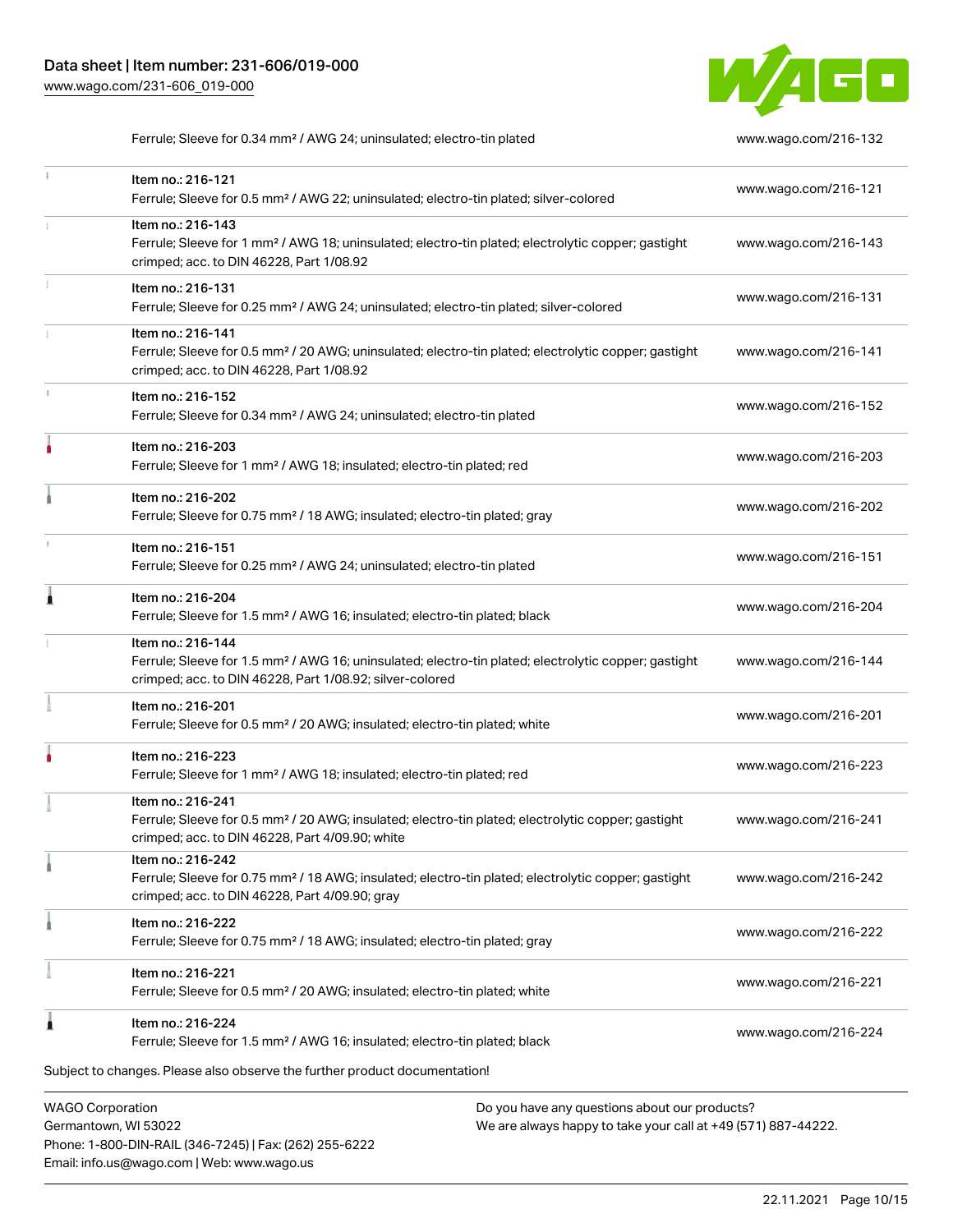Phone: 1-800-DIN-RAIL (346-7245) | Fax: (262) 255-6222

Email: info.us@wago.com | Web: www.wago.us



Ferrule; Sleeve for 0.34 mm<sup>2</sup> / AWG 24; uninsulated; electro-tin plated [www.wago.com/216-132](http://www.wago.com/216-132)

|                                                 | Item no.: 216-121<br>Ferrule; Sleeve for 0.5 mm <sup>2</sup> / AWG 22; uninsulated; electro-tin plated; silver-colored                                                                            |                                                                                                                | www.wago.com/216-121 |
|-------------------------------------------------|---------------------------------------------------------------------------------------------------------------------------------------------------------------------------------------------------|----------------------------------------------------------------------------------------------------------------|----------------------|
|                                                 | Item no.: 216-143<br>Ferrule; Sleeve for 1 mm <sup>2</sup> / AWG 18; uninsulated; electro-tin plated; electrolytic copper; gastight<br>crimped; acc. to DIN 46228, Part 1/08.92                   |                                                                                                                | www.wago.com/216-143 |
|                                                 | Item no.: 216-131<br>Ferrule; Sleeve for 0.25 mm <sup>2</sup> / AWG 24; uninsulated; electro-tin plated; silver-colored                                                                           |                                                                                                                | www.wago.com/216-131 |
|                                                 | Item no.: 216-141<br>Ferrule; Sleeve for 0.5 mm <sup>2</sup> / 20 AWG; uninsulated; electro-tin plated; electrolytic copper; gastight<br>crimped; acc. to DIN 46228, Part 1/08.92                 |                                                                                                                | www.wago.com/216-141 |
|                                                 | Item no.: 216-152<br>Ferrule; Sleeve for 0.34 mm <sup>2</sup> / AWG 24; uninsulated; electro-tin plated                                                                                           |                                                                                                                | www.wago.com/216-152 |
|                                                 | Item no.: 216-203<br>Ferrule; Sleeve for 1 mm <sup>2</sup> / AWG 18; insulated; electro-tin plated; red                                                                                           |                                                                                                                | www.wago.com/216-203 |
|                                                 | Item no.: 216-202<br>Ferrule; Sleeve for 0.75 mm <sup>2</sup> / 18 AWG; insulated; electro-tin plated; gray                                                                                       |                                                                                                                | www.wago.com/216-202 |
|                                                 | Item no.: 216-151<br>Ferrule; Sleeve for 0.25 mm <sup>2</sup> / AWG 24; uninsulated; electro-tin plated                                                                                           |                                                                                                                | www.wago.com/216-151 |
|                                                 | Item no.: 216-204<br>Ferrule; Sleeve for 1.5 mm <sup>2</sup> / AWG 16; insulated; electro-tin plated; black                                                                                       |                                                                                                                | www.wago.com/216-204 |
|                                                 | Item no.: 216-144<br>Ferrule; Sleeve for 1.5 mm <sup>2</sup> / AWG 16; uninsulated; electro-tin plated; electrolytic copper; gastight<br>crimped; acc. to DIN 46228, Part 1/08.92; silver-colored |                                                                                                                | www.wago.com/216-144 |
|                                                 | Item no.: 216-201<br>Ferrule; Sleeve for 0.5 mm <sup>2</sup> / 20 AWG; insulated; electro-tin plated; white                                                                                       |                                                                                                                | www.wago.com/216-201 |
|                                                 | Item no.: 216-223<br>Ferrule; Sleeve for 1 mm <sup>2</sup> / AWG 18; insulated; electro-tin plated; red                                                                                           |                                                                                                                | www.wago.com/216-223 |
|                                                 | Item no.: 216-241<br>Ferrule; Sleeve for 0.5 mm <sup>2</sup> / 20 AWG; insulated; electro-tin plated; electrolytic copper; gastight<br>crimped; acc. to DIN 46228, Part 4/09.90; white            |                                                                                                                | www.wago.com/216-241 |
|                                                 | Item no.: 216-242<br>Ferrule; Sleeve for 0.75 mm <sup>2</sup> / 18 AWG; insulated; electro-tin plated; electrolytic copper; gastight<br>crimped; acc. to DIN 46228, Part 4/09.90; gray            |                                                                                                                | www.wago.com/216-242 |
|                                                 | Item no.: 216-222<br>Ferrule; Sleeve for 0.75 mm <sup>2</sup> / 18 AWG; insulated; electro-tin plated; gray                                                                                       |                                                                                                                | www.wago.com/216-222 |
|                                                 | Item no.: 216-221<br>Ferrule; Sleeve for 0.5 mm <sup>2</sup> / 20 AWG; insulated; electro-tin plated; white                                                                                       |                                                                                                                | www.wago.com/216-221 |
| 1                                               | Item no.: 216-224<br>Ferrule; Sleeve for 1.5 mm <sup>2</sup> / AWG 16; insulated; electro-tin plated; black                                                                                       |                                                                                                                | www.wago.com/216-224 |
|                                                 | Subject to changes. Please also observe the further product documentation!                                                                                                                        |                                                                                                                |                      |
| <b>WAGO Corporation</b><br>Germantown, WI 53022 |                                                                                                                                                                                                   | Do you have any questions about our products?<br>We are always happy to take your call at +49 (571) 887-44222. |                      |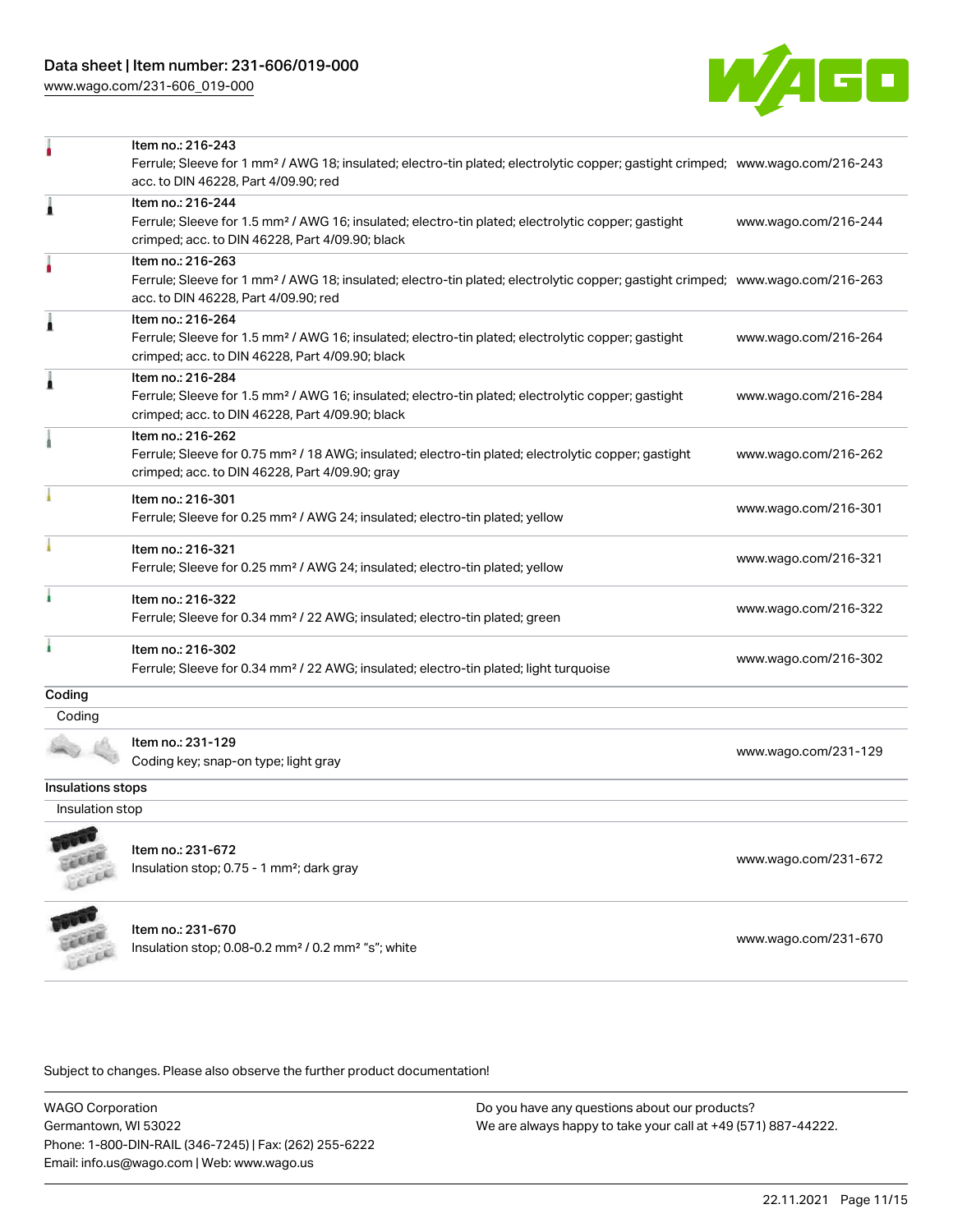[www.wago.com/231-606\\_019-000](http://www.wago.com/231-606_019-000)



|                   | Item no.: 216-243<br>Ferrule; Sleeve for 1 mm <sup>2</sup> / AWG 18; insulated; electro-tin plated; electrolytic copper; gastight crimped; www.wago.com/216-243<br>acc. to DIN 46228, Part 4/09.90; red |                      |
|-------------------|---------------------------------------------------------------------------------------------------------------------------------------------------------------------------------------------------------|----------------------|
| Â                 | Item no.: 216-244<br>Ferrule; Sleeve for 1.5 mm <sup>2</sup> / AWG 16; insulated; electro-tin plated; electrolytic copper; gastight<br>crimped; acc. to DIN 46228, Part 4/09.90; black                  | www.wago.com/216-244 |
|                   | Item no.: 216-263<br>Ferrule; Sleeve for 1 mm <sup>2</sup> / AWG 18; insulated; electro-tin plated; electrolytic copper; gastight crimped; www.wago.com/216-263<br>acc. to DIN 46228, Part 4/09.90; red |                      |
| Â                 | Item no.: 216-264<br>Ferrule; Sleeve for 1.5 mm <sup>2</sup> / AWG 16; insulated; electro-tin plated; electrolytic copper; gastight<br>crimped; acc. to DIN 46228, Part 4/09.90; black                  | www.wago.com/216-264 |
| j                 | Item no.: 216-284<br>Ferrule; Sleeve for 1.5 mm <sup>2</sup> / AWG 16; insulated; electro-tin plated; electrolytic copper; gastight<br>crimped; acc. to DIN 46228, Part 4/09.90; black                  | www.wago.com/216-284 |
|                   | Item no.: 216-262<br>Ferrule; Sleeve for 0.75 mm <sup>2</sup> / 18 AWG; insulated; electro-tin plated; electrolytic copper; gastight<br>crimped; acc. to DIN 46228, Part 4/09.90; gray                  | www.wago.com/216-262 |
|                   | Item no.: 216-301<br>Ferrule; Sleeve for 0.25 mm <sup>2</sup> / AWG 24; insulated; electro-tin plated; yellow                                                                                           | www.wago.com/216-301 |
|                   | Item no.: 216-321<br>Ferrule; Sleeve for 0.25 mm <sup>2</sup> / AWG 24; insulated; electro-tin plated; yellow                                                                                           | www.wago.com/216-321 |
|                   | Item no.: 216-322<br>Ferrule; Sleeve for 0.34 mm <sup>2</sup> / 22 AWG; insulated; electro-tin plated; green                                                                                            | www.wago.com/216-322 |
|                   | Item no.: 216-302<br>Ferrule; Sleeve for 0.34 mm <sup>2</sup> / 22 AWG; insulated; electro-tin plated; light turquoise                                                                                  | www.wago.com/216-302 |
| Coding<br>Coding  |                                                                                                                                                                                                         |                      |
|                   | Item no.: 231-129<br>Coding key; snap-on type; light gray                                                                                                                                               | www.wago.com/231-129 |
| Insulations stops |                                                                                                                                                                                                         |                      |
| Insulation stop   |                                                                                                                                                                                                         |                      |
|                   | Item no.: 231-672<br>Insulation stop; 0.75 - 1 mm <sup>2</sup> ; dark gray                                                                                                                              | www.wago.com/231-672 |
| <b>UNITED</b>     | Item no.: 231-670<br>Insulation stop; 0.08-0.2 mm <sup>2</sup> / 0.2 mm <sup>2</sup> "s"; white                                                                                                         | www.wago.com/231-670 |

Subject to changes. Please also observe the further product documentation!

WAGO Corporation Germantown, WI 53022 Phone: 1-800-DIN-RAIL (346-7245) | Fax: (262) 255-6222 Email: info.us@wago.com | Web: www.wago.us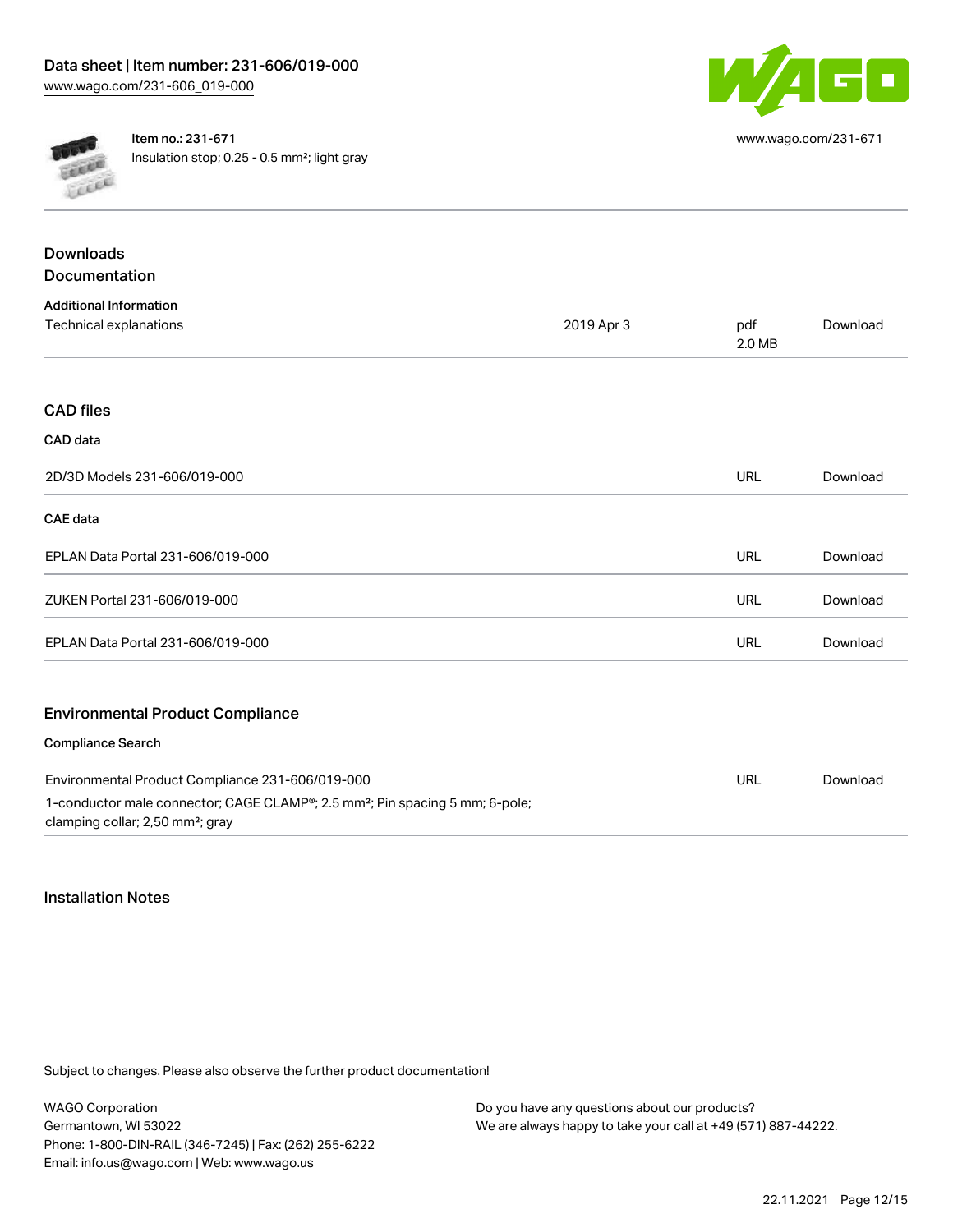



Item no.: 231-671 Insulation stop; 0.25 - 0.5 mm²; light gray

| <b>Downloads</b>                                                                                                                         |            |               |          |
|------------------------------------------------------------------------------------------------------------------------------------------|------------|---------------|----------|
| Documentation                                                                                                                            |            |               |          |
| <b>Additional Information</b>                                                                                                            |            |               |          |
| Technical explanations                                                                                                                   | 2019 Apr 3 | pdf<br>2.0 MB | Download |
|                                                                                                                                          |            |               |          |
| <b>CAD files</b>                                                                                                                         |            |               |          |
| CAD data                                                                                                                                 |            |               |          |
| 2D/3D Models 231-606/019-000                                                                                                             |            | <b>URL</b>    | Download |
| <b>CAE</b> data                                                                                                                          |            |               |          |
| EPLAN Data Portal 231-606/019-000                                                                                                        |            | <b>URL</b>    | Download |
| ZUKEN Portal 231-606/019-000                                                                                                             |            | <b>URL</b>    | Download |
| EPLAN Data Portal 231-606/019-000                                                                                                        |            | <b>URL</b>    | Download |
| <b>Environmental Product Compliance</b>                                                                                                  |            |               |          |
| <b>Compliance Search</b>                                                                                                                 |            |               |          |
| Environmental Product Compliance 231-606/019-000                                                                                         |            | <b>URL</b>    | Download |
| 1-conductor male connector; CAGE CLAMP®; 2.5 mm <sup>2</sup> ; Pin spacing 5 mm; 6-pole;<br>clamping collar; 2,50 mm <sup>2</sup> ; gray |            |               |          |

## Installation Notes

Subject to changes. Please also observe the further product documentation!

WAGO Corporation Germantown, WI 53022 Phone: 1-800-DIN-RAIL (346-7245) | Fax: (262) 255-6222 Email: info.us@wago.com | Web: www.wago.us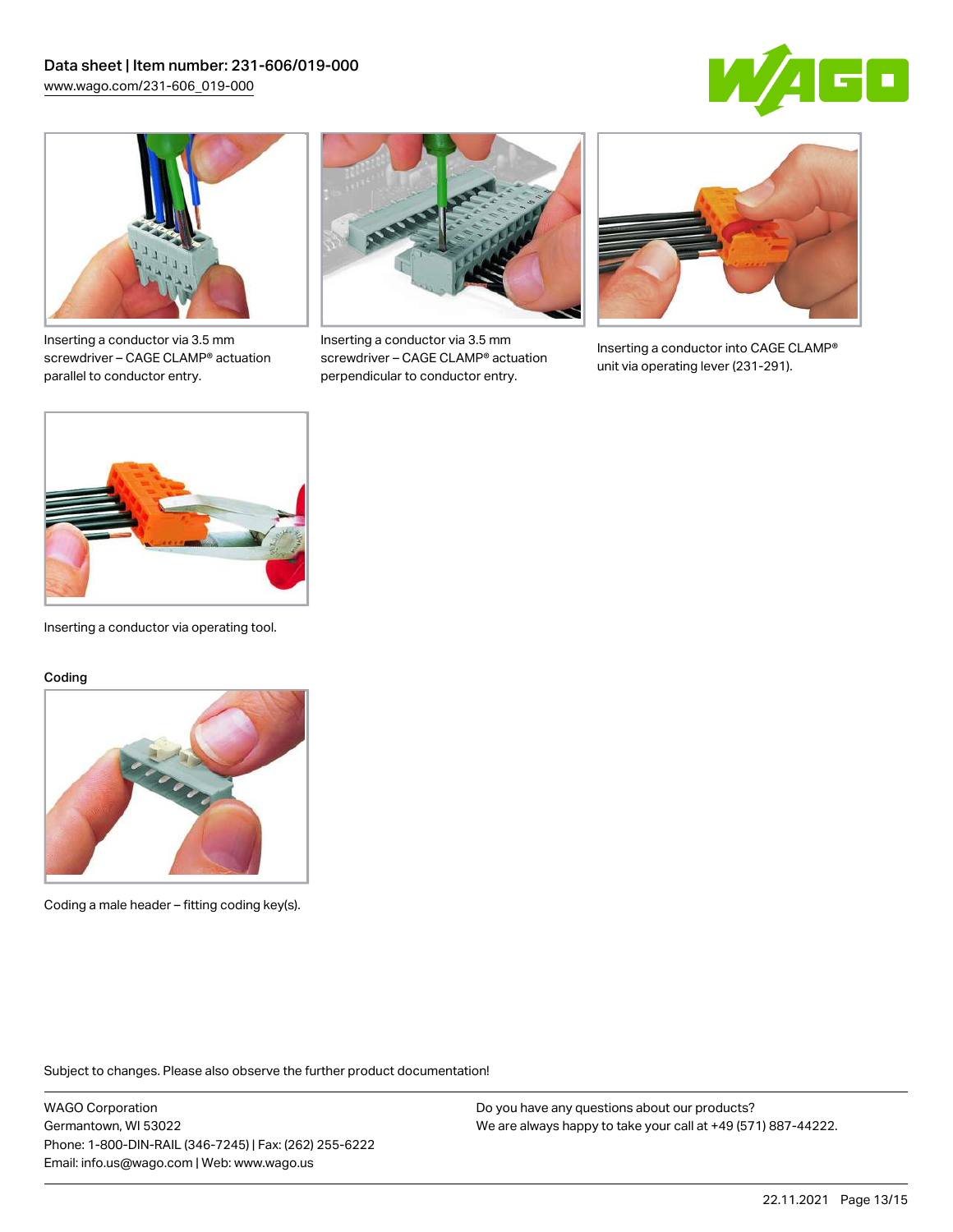



Inserting a conductor via 3.5 mm screwdriver – CAGE CLAMP® actuation parallel to conductor entry.



Inserting a conductor via 3.5 mm screwdriver – CAGE CLAMP® actuation perpendicular to conductor entry.



Inserting a conductor into CAGE CLAMP® unit via operating lever (231-291).



Inserting a conductor via operating tool.

#### Coding



Coding a male header – fitting coding key(s).

Subject to changes. Please also observe the further product documentation!

WAGO Corporation Germantown, WI 53022 Phone: 1-800-DIN-RAIL (346-7245) | Fax: (262) 255-6222 Email: info.us@wago.com | Web: www.wago.us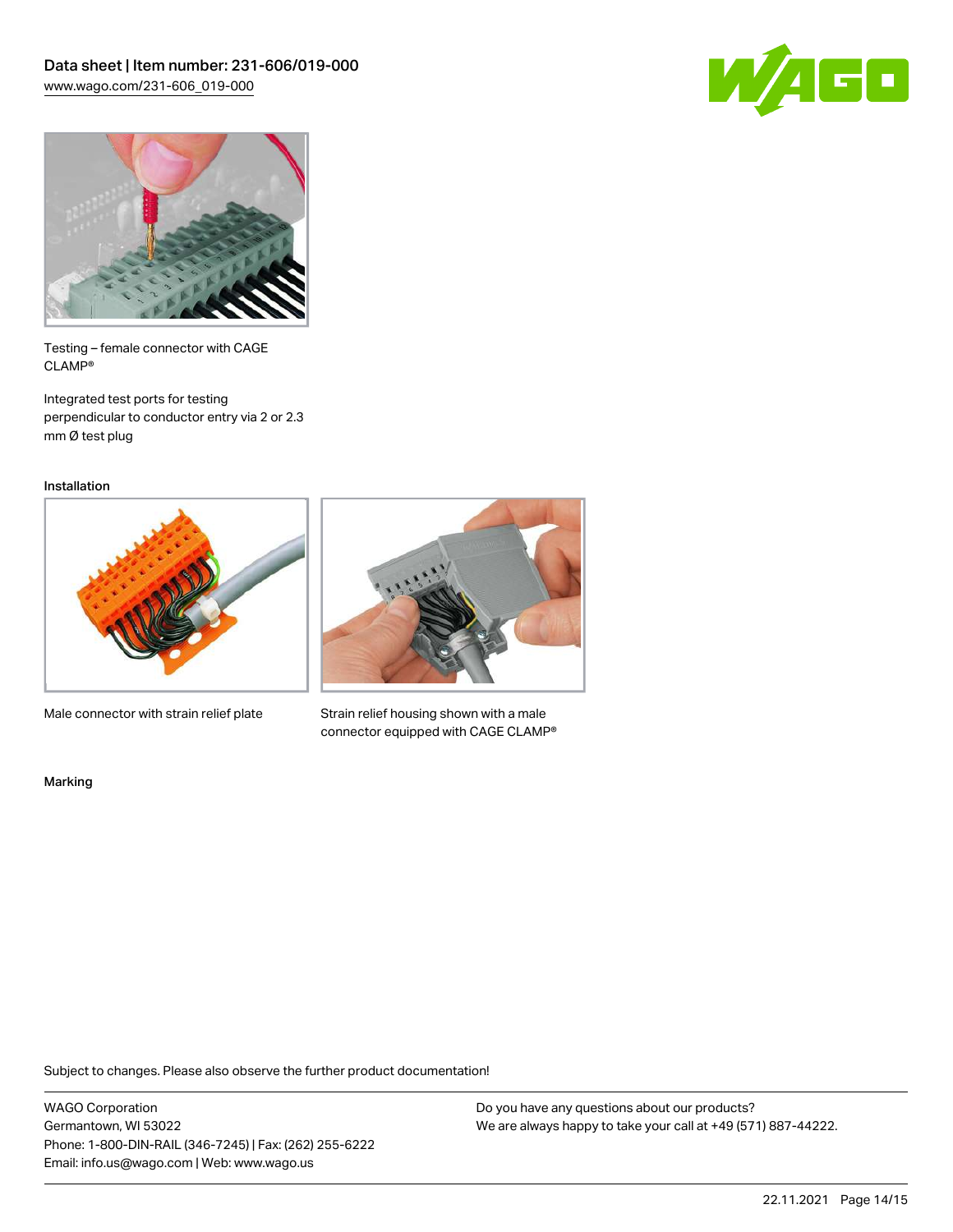



Testing – female connector with CAGE CLAMP®

Integrated test ports for testing perpendicular to conductor entry via 2 or 2.3 mm Ø test plug

Installation



Male connector with strain relief plate



Strain relief housing shown with a male connector equipped with CAGE CLAMP®

Marking

Subject to changes. Please also observe the further product documentation!

WAGO Corporation Germantown, WI 53022 Phone: 1-800-DIN-RAIL (346-7245) | Fax: (262) 255-6222 Email: info.us@wago.com | Web: www.wago.us